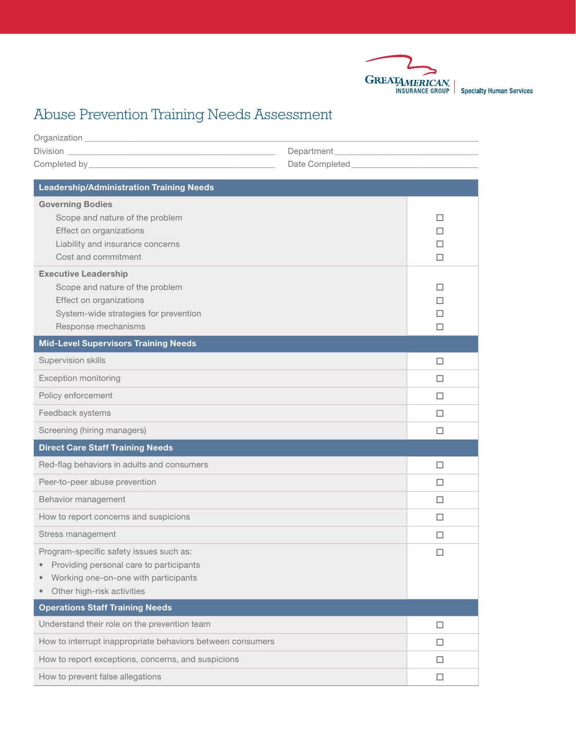

**Specialty Human Services** 

# Abuse Prevention Training Needs Assessment

| <b>Leadership/Administration Training Needs</b>             |        |
|-------------------------------------------------------------|--------|
| <b>Governing Bodies</b>                                     |        |
| Scope and nature of the problem                             | П      |
| Effect on organizations<br>Liability and insurance concerns | п<br>п |
| Cost and commitment                                         | П      |
| <b>Executive Leadership</b>                                 |        |
| Scope and nature of the problem                             | п      |
| Effect on organizations                                     | П      |
| System-wide strategies for prevention                       | П      |
| Response mechanisms                                         | п      |
| <b>Mid-Level Supervisors Training Needs</b>                 |        |
| Supervision skills                                          | □      |
| <b>Exception monitoring</b>                                 | □      |
| Policy enforcement                                          | □      |
| Feedback systems                                            | □      |
| Screening (hiring managers)                                 | □      |
| <b>Direct Care Staff Training Needs</b>                     |        |
| Red-flag behaviors in adults and consumers                  | □      |
| Peer-to-peer abuse prevention                               | □      |
| Behavior management                                         | □      |
| How to report concerns and suspicions                       | ш      |
| Stress management                                           | □      |
| Program-specific safety issues such as:                     |        |
| Providing personal care to participants<br>$\bullet$        |        |
| Working one-on-one with participants<br>$\bullet$           |        |
| Other high-risk activities                                  |        |
| <b>Operations Staff Training Needs</b>                      |        |
| Understand their role on the prevention team                | □      |
| How to interrupt inappropriate behaviors between consumers  | □      |
| How to report exceptions, concerns, and suspicions          | $\Box$ |

How to prevent false allegations  $\square$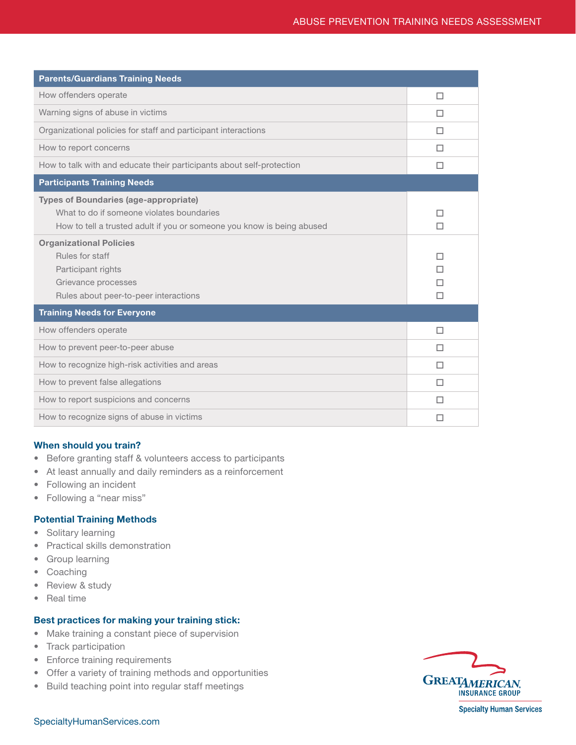| <b>Parents/Guardians Training Needs</b>                                                                                                                                                               |             |
|-------------------------------------------------------------------------------------------------------------------------------------------------------------------------------------------------------|-------------|
| How offenders operate                                                                                                                                                                                 | □           |
| Warning signs of abuse in victims                                                                                                                                                                     | □           |
| Organizational policies for staff and participant interactions                                                                                                                                        | п           |
| How to report concerns                                                                                                                                                                                | П           |
| How to talk with and educate their participants about self-protection                                                                                                                                 | □           |
| <b>Participants Training Needs</b>                                                                                                                                                                    |             |
| <b>Types of Boundaries (age-appropriate)</b><br>What to do if someone violates boundaries<br>How to tell a trusted adult if you or someone you know is being abused<br><b>Organizational Policies</b> | П<br>п      |
| Rules for staff<br>Participant rights<br>Grievance processes<br>Rules about peer-to-peer interactions                                                                                                 | П<br>п<br>П |
| <b>Training Needs for Everyone</b>                                                                                                                                                                    |             |
| How offenders operate                                                                                                                                                                                 | □           |
| How to prevent peer-to-peer abuse                                                                                                                                                                     | П           |
| How to recognize high-risk activities and areas                                                                                                                                                       | □           |
| How to prevent false allegations                                                                                                                                                                      | П           |
| How to report suspicions and concerns                                                                                                                                                                 | п           |
| How to recognize signs of abuse in victims                                                                                                                                                            | П           |

### When should you train?

- Before granting staff & volunteers access to participants
- At least annually and daily reminders as a reinforcement
- Following an incident
- Following a "near miss"

### Potential Training Methods

- Solitary learning
- Practical skills demonstration
- Group learning
- Coaching
- Review & study
- Real time

### Best practices for making your training stick:

- Make training a constant piece of supervision
- Track participation
- Enforce training requirements
- Offer a variety of training methods and opportunities
- Build teaching point into regular staff meetings



SpecialtyHumanServices.com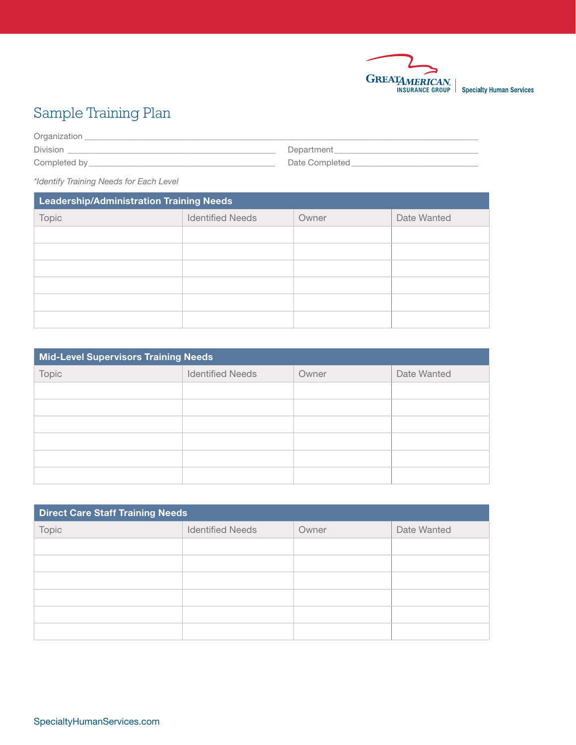

## Sample Training Plan

Organization \_\_\_\_\_\_\_\_\_\_\_\_\_\_\_\_\_\_\_\_\_\_\_\_\_\_\_\_\_\_\_\_\_\_\_\_\_\_\_\_\_\_\_\_\_\_\_\_\_\_\_\_\_\_\_\_\_\_\_\_\_\_\_\_\_\_\_\_\_\_\_\_\_\_\_\_\_\_\_\_\_\_\_\_\_\_\_\_\_\_\_\_\_  $\text{Division}$ Completed by\_\_\_\_\_\_\_\_\_\_\_\_\_\_\_\_\_\_\_\_\_\_\_\_\_\_\_\_\_\_\_\_\_\_\_\_\_\_\_\_\_\_\_\_ Date Completed\_\_\_\_\_\_\_\_\_\_\_\_\_\_\_\_\_\_\_\_\_\_\_\_\_\_\_\_\_\_

*\*Identify Training Needs for Each Level*

| <b>Leadership/Administration Training Needs</b> |                         |       |             |
|-------------------------------------------------|-------------------------|-------|-------------|
| Topic                                           | <b>Identified Needs</b> | Owner | Date Wanted |
|                                                 |                         |       |             |
|                                                 |                         |       |             |
|                                                 |                         |       |             |
|                                                 |                         |       |             |
|                                                 |                         |       |             |
|                                                 |                         |       |             |

| <b>Mid-Level Supervisors Training Needs</b> |                         |       |             |
|---------------------------------------------|-------------------------|-------|-------------|
| Topic                                       | <b>Identified Needs</b> | Owner | Date Wanted |
|                                             |                         |       |             |
|                                             |                         |       |             |
|                                             |                         |       |             |
|                                             |                         |       |             |
|                                             |                         |       |             |
|                                             |                         |       |             |

| <b>Direct Care Staff Training Needs</b> |                         |       |             |
|-----------------------------------------|-------------------------|-------|-------------|
| Topic                                   | <b>Identified Needs</b> | Owner | Date Wanted |
|                                         |                         |       |             |
|                                         |                         |       |             |
|                                         |                         |       |             |
|                                         |                         |       |             |
|                                         |                         |       |             |
|                                         |                         |       |             |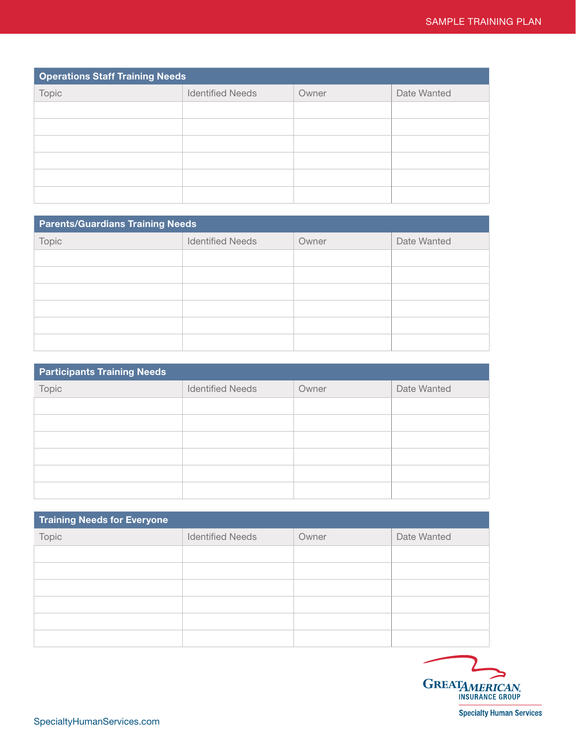| <b>Operations Staff Training Needs</b> |                         |       |             |
|----------------------------------------|-------------------------|-------|-------------|
| Topic                                  | <b>Identified Needs</b> | Owner | Date Wanted |
|                                        |                         |       |             |
|                                        |                         |       |             |
|                                        |                         |       |             |
|                                        |                         |       |             |
|                                        |                         |       |             |
|                                        |                         |       |             |

| <b>Parents/Guardians Training Needs</b> |                         |       |             |
|-----------------------------------------|-------------------------|-------|-------------|
| Topic                                   | <b>Identified Needs</b> | Owner | Date Wanted |
|                                         |                         |       |             |
|                                         |                         |       |             |
|                                         |                         |       |             |
|                                         |                         |       |             |
|                                         |                         |       |             |
|                                         |                         |       |             |

| <b>Participants Training Needs</b> |                         |       |             |
|------------------------------------|-------------------------|-------|-------------|
| Topic                              | <b>Identified Needs</b> | Owner | Date Wanted |
|                                    |                         |       |             |
|                                    |                         |       |             |
|                                    |                         |       |             |
|                                    |                         |       |             |
|                                    |                         |       |             |
|                                    |                         |       |             |

| <b>Training Needs for Everyone</b> |                         |       |             |
|------------------------------------|-------------------------|-------|-------------|
| Topic                              | <b>Identified Needs</b> | Owner | Date Wanted |
|                                    |                         |       |             |
|                                    |                         |       |             |
|                                    |                         |       |             |
|                                    |                         |       |             |
|                                    |                         |       |             |
|                                    |                         |       |             |